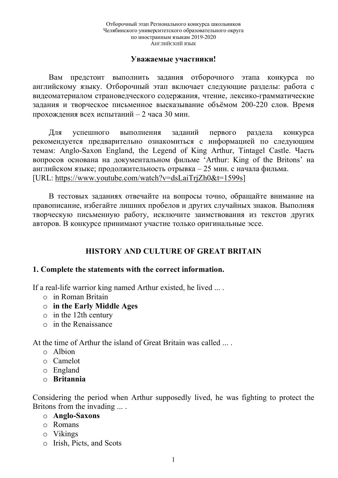#### **Уважаемые участники!**

Вам предстоит выполнить задания отборочного этапа конкурса по английскому языку. Отборочный этап включает следующие разделы: работа с видеоматериалом страноведческого содержания, чтение, лексико-грамматические задания и творческое письменное высказывание объёмом 200-220 слов. Время прохождения всех испытаний – 2 часа 30 мин.

Для успешного выполнения заданий первого раздела конкурса рекомендуется предварительно ознакомиться с информацией по следующим темам: Anglo-Saxon England, the Legend of King Arthur, Tintagel Castle. Часть вопросов основана на документальном фильме 'Arthur: King of the Britons' на английском языке; продолжительность отрывка – 25 мин. с начала фильма. [URL: https://www.youtube.com/watch?v=dsLaiTrjZh0&t=1599s]

В тестовых заданиях отвечайте на вопросы точно, обращайте внимание на правописание, избегайте лишних пробелов и других случайных знаков. Выполняя творческую письменную работу, исключите заимствования из текстов других авторов. В конкурсе принимают участие только оригинальные эссе.

# **HISTORY AND CULTURE OF GREAT BRITAIN**

#### **1. Complete the statements with the correct information.**

If a real-life warrior king named Arthur existed, he lived ... .

- o in Roman Britain
- o **in the Early Middle Ages**
- o in the 12th century
- o in the Renaissance

At the time of Arthur the island of Great Britain was called ... .

- $\circ$  Albion
- o Camelot
- o England
- o **Britannia**

Considering the period when Arthur supposedly lived, he was fighting to protect the Britons from the invading ... .

- o **Anglo-Saxons**
- o Romans
- o Vikings
- o Irish, Picts, and Scots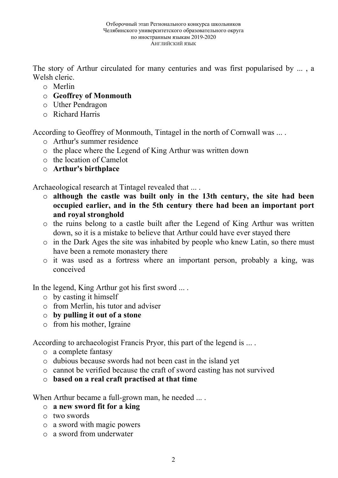The story of Arthur circulated for many centuries and was first popularised by ... , a Welsh cleric.

- o Merlin
- o **Geoffrey of Monmouth**
- o Uther Pendragon
- o Richard Harris

According to Geoffrey of Monmouth, Tintagel in the north of Cornwall was ... .

- o Arthur's summer residence
- o the place where the Legend of King Arthur was written down
- o the location of Camelot
- o **Arthur's birthplace**

Archaeological research at Tintagel revealed that ... .

- o **although the castle was built only in the 13th century, the site had been occupied earlier, and in the 5th century there had been an important port and royal stronghold**
- o the ruins belong to a castle built after the Legend of King Arthur was written down, so it is a mistake to believe that Arthur could have ever stayed there
- o in the Dark Ages the site was inhabited by people who knew Latin, so there must have been a remote monastery there
- o it was used as a fortress where an important person, probably a king, was conceived

In the legend, King Arthur got his first sword ... .

- o by casting it himself
- o from Merlin, his tutor and adviser
- o **by pulling it out of a stone**
- o from his mother, Igraine

According to archaeologist Francis Pryor, this part of the legend is ... .

- o a complete fantasy
- o dubious because swords had not been cast in the island yet
- o cannot be verified because the craft of sword casting has not survived
- o **based on a real craft practised at that time**

When Arthur became a full-grown man, he needed ... .

- o **a new sword fit for a king**
- o two swords
- o a sword with magic powers
- o a sword from underwater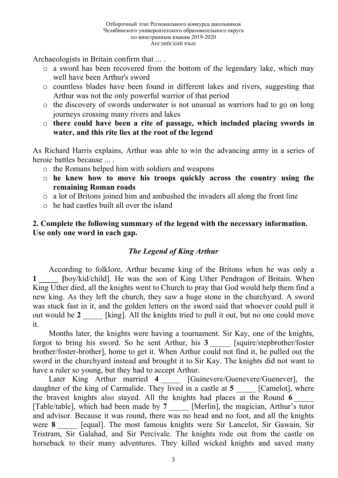Archaeologists in Britain confirm that ... .

- o a sword has been recovered from the bottom of the legendary lake, which may well have been Arthur's sword
- o countless blades have been found in different lakes and rivers, suggesting that Arthur was not the only powerful warrior of that period
- o the discovery of swords underwater is not unusual as warriors had to go on long journeys crossing many rivers and lakes
- o **there could have been a rite of passage, which included placing swords in water, and this rite lies at the root of the legend**

As Richard Harris explains, Arthur was able to win the advancing army in a series of heroic battles because ... .

- o the Romans helped him with soldiers and weapons
- o **he knew how to move his troops quickly across the country using the remaining Roman roads**
- o a lot of Britons joined him and ambushed the invaders all along the front line
- o he had castles built all over the island

# **2. Complete the following summary of the legend with the necessary information. Use only one word in each gap.**

# *The Legend of King Arthur*

According to folklore, Arthur became king of the Britons when he was only a **1 \_\_\_\_\_ [**boy/kid/child]. He was the son of King Uther Pendragon of Britain. When King Uther died, all the knights went to Church to pray that God would help them find a new king. As they left the church, they saw a huge stone in the churchyard. A sword was stuck fast in it, and the golden letters on the sword said that whoever could pull it out would be 2 [king]. All the knights tried to pull it out, but no one could move it.

Months later, the knights were having a tournament. Sir Kay, one of the knights, forgot to bring his sword. So he sent Arthur, his **3** \_\_\_\_\_ [squire/stepbrother/foster brother/foster-brother], home to get it. When Arthur could not find it, he pulled out the sword in the churchyard instead and brought it to Sir Kay. The knights did not want to have a ruler so young, but they had to accept Arthur.

Later King Arthur married **4** [Guinevere/Guenevere/Guenever], the daughter of the king of Carmalide. They lived in a castle at **5** \_\_\_\_\_ [Camelot], where the bravest knights also stayed. All the knights had places at the Round 6 [Table/table], which had been made by **7** [Merlin], the magician, Arthur's tutor and advisor. Because it was round, there was no head and no foot, and all the knights were 8 **a** [equal]. The most famous knights were Sir Lancelot, Sir Gawain, Sir Tristram, Sir Galahad, and Sir Percivale. The knights rode out from the castle on horseback to their many adventures. They killed wicked knights and saved many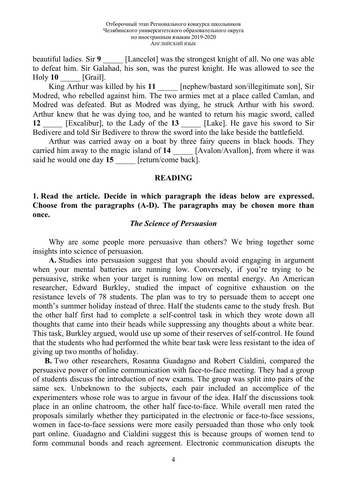beautiful ladies. Sir 9 **I** [Lancelot] was the strongest knight of all. No one was able to defeat him. Sir Galahad, his son, was the purest knight. He was allowed to see the Holy **10** [Grail].

King Arthur was killed by his 11 [nephew/bastard son/illegitimate son], Sir Modred, who rebelled against him. The two armies met at a place called Camlan, and Modred was defeated. But as Modred was dying, he struck Arthur with his sword. Arthur knew that he was dying too, and he wanted to return his magic sword, called **12** \_\_\_\_\_ [Excalibur], to the Lady of the **13** \_\_\_\_\_ [Lake]. He gave his sword to Sir Bedivere and told Sir Bedivere to throw the sword into the lake beside the battlefield.

Arthur was carried away on a boat by three fairy queens in black hoods. They carried him away to the magic island of 14 [Avalon/Avallon], from where it was said he would one day 15 **Figure** [return/come back].

#### **READING**

## **1. Read the article. Decide in which paragraph the ideas below are expressed. Choose from the paragraphs (A-D). The paragraphs may be chosen more than once.**

#### *The Science of Persuasion*

Why are some people more persuasive than others? We bring together some insights into science of persuasion.

**A.** Studies into persuasion suggest that you should avoid engaging in argument when your mental batteries are running low. Conversely, if you're trying to be persuasive, strike when your target is running low on mental energy. An American researcher, Edward Burkley, studied the impact of cognitive exhaustion on the resistance levels of 78 students. The plan was to try to persuade them to accept one month's summer holiday instead of three. Half the students came to the study fresh. But the other half first had to complete a self-control task in which they wrote down all thoughts that came into their heads while suppressing any thoughts about a white bear. This task, Burkley argued, would use up some of their reserves of self-control. He found that the students who had performed the white bear task were less resistant to the idea of giving up two months of holiday.

**B.** Two other researchers, Rosanna Guadagno and Robert Cialdini, compared the persuasive power of online communication with face-to-face meeting. They had a group of students discuss the introduction of new exams. The group was split into pairs of the same sex. Unbeknown to the subjects, each pair included an accomplice of the experimenters whose role was to argue in favour of the idea. Half the discussions took place in an online chatroom, the other half face-to-face. While overall men rated the proposals similarly whether they participated in the electronic or face-to-face sessions, women in face-to-face sessions were more easily persuaded than those who only took part online. Guadagno and Cialdini suggest this is because groups of women tend to form communal bonds and reach agreement. Electronic communication disrupts the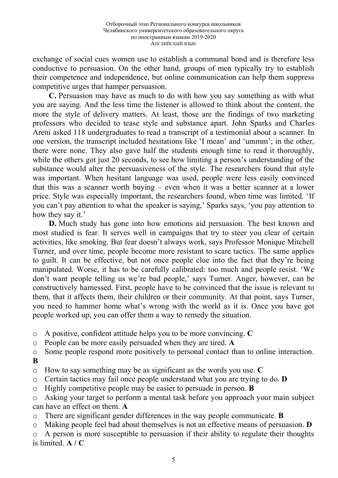exchange of social cues women use to establish a communal bond and is therefore less conductive to persuasion. On the other hand, groups of men typically try to establish their competence and independence, but online communication can help them suppress competitive urges that hamper persuasion.

**C.** Persuasion may have as much to do with how you say something as with what you are saying. And the less time the listener is allowed to think about the content, the more the style of delivery matters. At least, those are the findings of two marketing professors who decided to tease style and substance apart. John Sparks and Charles Areni asked 118 undergraduates to read a transcript of a testimonial about a scanner. In one version, the transcript included hesitations like 'I mean' and 'ummm'; in the other, there were none. They also gave half the students enough time to read it thoroughly, while the others got just 20 seconds, to see how limiting a person's understanding of the substance would alter the persuasiveness of the style. The researchers found that style was important. When hesitant language was used, people were less easily convinced that this was a scanner worth buying – even when it was a better scanner at a lower price. Style was especially important, the researchers found, when time was limited. 'If you can't pay attention to what the speaker is saying,' Sparks says, 'you pay attention to how they say it.'

**D.** Much study has gone into how emotions aid persuasion. The best known and most studied is fear. It serves well in campaigns that try to steer you clear of certain activities, like smoking. But fear doesn't always work, says Professor Monique Mitchell Turner, and over time, people become more resistant to scare tactics. The same applies to guilt. It can be effective, but not once people clue into the fact that they're being manipulated. Worse, it has to be carefully calibrated: too much and people resist. 'We don't want people telling us we're bad people,' says Turner. Anger, however, can be constructively harnessed. First, people have to be convinced that the issue is relevant to them, that it affects them, their children or their community. At that point, says Turner, you need to hammer home what's wrong with the world as it is. Once you have got people worked up, you can offer them a way to remedy the situation.

- o A positive, confident attitude helps you to be more convincing. **C**
- o People can be more easily persuaded when they are tired. **A**
- o Some people respond more positively to personal contact than to online interaction. **B**
- o How to say something may be as significant as the words you use. **C**
- o Certain tactics may fail once people understand what you are trying to do. **D**
- o Highly competitive people may be easier to persuade in person. **B**
- o Asking your target to perform a mental task before you approach your main subject can have an effect on them. **A**
- o There are significant gender differences in the way people communicate. **B**
- o Making people feel bad about themselves is not an effective means of persuasion. **D**

o A person is more susceptible to persuasion if their ability to regulate their thoughts is limited. **A / C**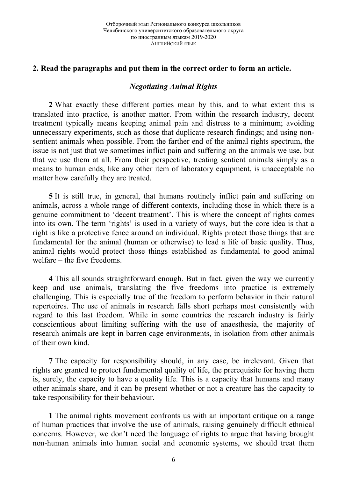## **2. Read the paragraphs and put them in the correct order to form an article.**

## *Negotiating Animal Rights*

**2** What exactly these different parties mean by this, and to what extent this is translated into practice, is another matter. From within the research industry, decent treatment typically means keeping animal pain and distress to a minimum; avoiding unnecessary experiments, such as those that duplicate research findings; and using nonsentient animals when possible. From the farther end of the animal rights spectrum, the issue is not just that we sometimes inflict pain and suffering on the animals we use, but that we use them at all. From their perspective, treating sentient animals simply as a means to human ends, like any other item of laboratory equipment, is unacceptable no matter how carefully they are treated.

**5** It is still true, in general, that humans routinely inflict pain and suffering on animals, across a whole range of different contexts, including those in which there is a genuine commitment to 'decent treatment'. This is where the concept of rights comes into its own. The term 'rights' is used in a variety of ways, but the core idea is that a right is like a protective fence around an individual. Rights protect those things that are fundamental for the animal (human or otherwise) to lead a life of basic quality. Thus, animal rights would protect those things established as fundamental to good animal welfare – the five freedoms.

**4** This all sounds straightforward enough. But in fact, given the way we currently keep and use animals, translating the five freedoms into practice is extremely challenging. This is especially true of the freedom to perform behavior in their natural repertoires. The use of animals in research falls short perhaps most consistently with regard to this last freedom. While in some countries the research industry is fairly conscientious about limiting suffering with the use of anaesthesia, the majority of research animals are kept in barren cage environments, in isolation from other animals of their own kind.

**7** The capacity for responsibility should, in any case, be irrelevant. Given that rights are granted to protect fundamental quality of life, the prerequisite for having them is, surely, the capacity to have a quality life. This is a capacity that humans and many other animals share, and it can be present whether or not a creature has the capacity to take responsibility for their behaviour.

**1** The animal rights movement confronts us with an important critique on a range of human practices that involve the use of animals, raising genuinely difficult ethnical concerns. However, we don't need the language of rights to argue that having brought non-human animals into human social and economic systems, we should treat them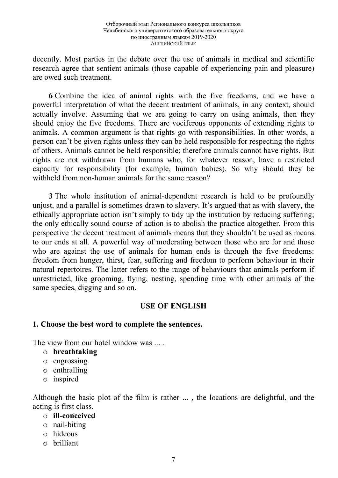decently. Most parties in the debate over the use of animals in medical and scientific research agree that sentient animals (those capable of experiencing pain and pleasure) are owed such treatment.

**6** Combine the idea of animal rights with the five freedoms, and we have a powerful interpretation of what the decent treatment of animals, in any context, should actually involve. Assuming that we are going to carry on using animals, then they should enjoy the five freedoms. There are vociferous opponents of extending rights to animals. A common argument is that rights go with responsibilities. In other words, a person can't be given rights unless they can be held responsible for respecting the rights of others. Animals cannot be held responsible; therefore animals cannot have rights. But rights are not withdrawn from humans who, for whatever reason, have a restricted capacity for responsibility (for example, human babies). So why should they be withheld from non-human animals for the same reason?

**3** The whole institution of animal-dependent research is held to be profoundly unjust, and a parallel is sometimes drawn to slavery. It's argued that as with slavery, the ethically appropriate action isn't simply to tidy up the institution by reducing suffering; the only ethically sound course of action is to abolish the practice altogether. From this perspective the decent treatment of animals means that they shouldn't be used as means to our ends at all. A powerful way of moderating between those who are for and those who are against the use of animals for human ends is through the five freedoms: freedom from hunger, thirst, fear, suffering and freedom to perform behaviour in their natural repertoires. The latter refers to the range of behaviours that animals perform if unrestricted, like grooming, flying, nesting, spending time with other animals of the same species, digging and so on.

## **USE OF ENGLISH**

#### **1. Choose the best word to complete the sentences.**

The view from our hotel window was ...

- o **breathtaking**
- o engrossing
- o enthralling
- o inspired

Although the basic plot of the film is rather ... , the locations are delightful, and the acting is first class.

- o **ill-conceived**
- o nail-biting
- o hideous
- o brilliant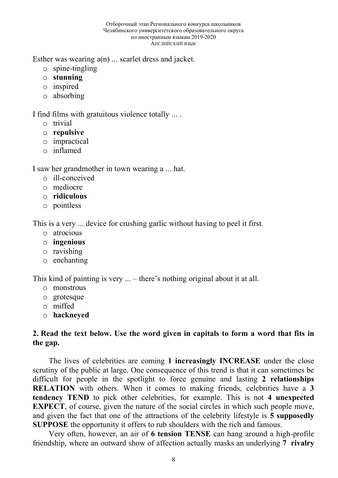#### Отборочный этап Регионального конкурса школьников Челябинского университетского образовательного округа по иностранным языкам 2019-2020 АНГЛИЙСКИЙ ЯЗЫК

Esther was wearing a(n) ... scarlet dress and jacket.

- o spine-tingling
- o **stunning**
- o inspired
- o absorbing

I find films with gratuitous violence totally ... .

- o trivial
- o **repulsive**
- o impractical
- o inflamed

I saw her grandmother in town wearing a ... hat.

- o ill-conceived
- o mediocre
- o **ridiculous**
- o pointless

This is a very ... device for crushing garlic without having to peel it first.

- o atrocious
- o **ingenious**
- o ravishing
- o enchanting

This kind of painting is very ... – there's nothing original about it at all.

- o monstrous
- o grotesque
- o miffed
- o **hackneyed**

# **2. Read the text below. Use the word given in capitals to form a word that fits in the gap.**

The lives of celebrities are coming **1 increasingly INCREASE** under the close scrutiny of the public at large. One consequence of this trend is that it can sometimes be difficult for people in the spotlight to force genuine and lasting **2 relationships RELATION** with others. When it comes to making friends, celebrities have a **3 tendency TEND** to pick other celebrities, for example. This is not **4 unexpected EXPECT**, of course, given the nature of the social circles in which such people move, and given the fact that one of the attractions of the celebrity lifestyle is **5 supposedly SUPPOSE** the opportunity it offers to rub shoulders with the rich and famous.

Very often, however, an air of **6 tension TENSE** can hang around a high-profile friendship, where an outward show of affection actually masks an underlying **7 rivalry**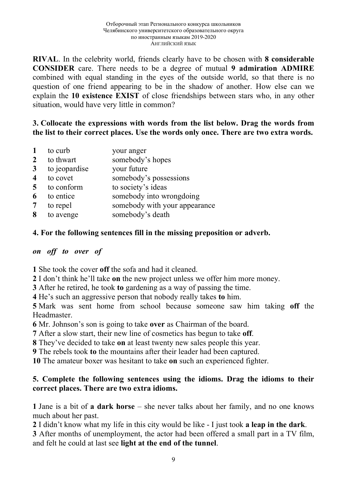**RIVAL**. In the celebrity world, friends clearly have to be chosen with **8 considerable CONSIDER** care. There needs to be a degree of mutual **9 admiration ADMIRE** combined with equal standing in the eyes of the outside world, so that there is no question of one friend appearing to be in the shadow of another. How else can we explain the **10 existence EXIST** of close friendships between stars who, in any other situation, would have very little in common?

# **3. Collocate the expressions with words from the list below. Drag the words from the list to their correct places. Use the words only once. There are two extra words.**

- **1** to curb your anger
- 2 to thwart somebody's hopes
- **3** to jeopardise your future
- **4** to covet somebody's possessions
- 5 to conform to society's ideas
- **6** to entice somebody into wrongdoing
- **7** to repel somebody with your appearance
- **8** to avenge somebody's death

## **4. For the following sentences fill in the missing preposition or adverb.**

## *on off to over of*

**1** She took the cover **off** the sofa and had it cleaned.

**2** I don't think he'll take **on** the new project unless we offer him more money.

**3** After he retired, he took **to** gardening as a way of passing the time.

**4** He's such an aggressive person that nobody really takes **to** him.

**5** Mark was sent home from school because someone saw him taking **off** the **Headmaster** 

**6** Mr. Johnson's son is going to take **over** as Chairman of the board.

**7** After a slow start, their new line of cosmetics has begun to take **off**.

**8** They've decided to take **on** at least twenty new sales people this year.

**9** The rebels took **to** the mountains after their leader had been captured.

**10** The amateur boxer was hesitant to take **on** such an experienced fighter.

# **5. Complete the following sentences using the idioms. Drag the idioms to their correct places. There are two extra idioms.**

**1** Jane is a bit of **a dark horse** – she never talks about her family, and no one knows much about her past.

**2** I didn't know what my life in this city would be like - I just took **a leap in the dark**.

**3** After months of unemployment, the actor had been offered a small part in a TV film, and felt he could at last see **light at the end of the tunnel**.